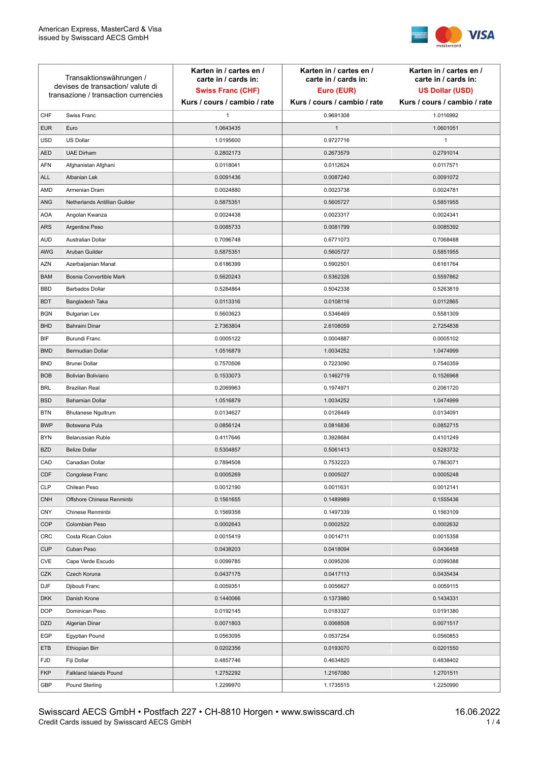

| Transaktionswährungen /<br>devises de transaction/valute di<br>transazione / transaction currencies |                               | Karten in / cartes en /<br>carte in / cards in:<br><b>Swiss Franc (CHF)</b> | Karten in / cartes en /<br>carte in / cards in:<br>Euro (EUR) | Karten in / cartes en /<br>carte in / cards in:<br><b>US Dollar (USD)</b> |
|-----------------------------------------------------------------------------------------------------|-------------------------------|-----------------------------------------------------------------------------|---------------------------------------------------------------|---------------------------------------------------------------------------|
|                                                                                                     |                               | Kurs / cours / cambio / rate                                                | Kurs / cours / cambio / rate                                  | Kurs / cours / cambio / rate                                              |
| CHF                                                                                                 | Swiss Franc                   | 1                                                                           | 0.9691308                                                     | 1.0116992                                                                 |
| <b>EUR</b>                                                                                          | Euro                          | 1.0643435                                                                   | $\mathbf{1}$                                                  | 1.0601051                                                                 |
| <b>USD</b>                                                                                          | US Dollar                     | 1.0195600                                                                   | 0.9727716                                                     | $\mathbf{1}$                                                              |
| <b>AED</b>                                                                                          | <b>UAE Dirham</b>             | 0.2802173                                                                   | 0.2673579                                                     | 0.2791014                                                                 |
| <b>AFN</b>                                                                                          | Afghanistan Afghani           | 0.0118041                                                                   | 0.0112624                                                     | 0.0117571                                                                 |
| ALL                                                                                                 | Albanian Lek                  | 0.0091436                                                                   | 0.0087240                                                     | 0.0091072                                                                 |
| AMD                                                                                                 | Armenian Dram                 | 0.0024880                                                                   | 0.0023738                                                     | 0.0024781                                                                 |
| ANG                                                                                                 | Netherlands Antillian Guilder | 0.5875351                                                                   | 0.5605727                                                     | 0.5851955                                                                 |
| <b>AOA</b>                                                                                          | Angolan Kwanza                | 0.0024438                                                                   | 0.0023317                                                     | 0.0024341                                                                 |
| ARS                                                                                                 | Argentine Peso                | 0.0085733                                                                   | 0.0081799                                                     | 0.0085392                                                                 |
| <b>AUD</b>                                                                                          | Australian Dollar             | 0.7096748                                                                   | 0.6771073                                                     | 0.7068488                                                                 |
| AWG                                                                                                 | Aruban Guilder                | 0.5875351                                                                   | 0.5605727                                                     | 0.5851955                                                                 |
| AZN                                                                                                 | Azerbaijanian Manat           | 0.6186399                                                                   | 0.5902501                                                     | 0.6161764                                                                 |
| <b>BAM</b>                                                                                          | Bosnia Convertible Mark       | 0.5620243                                                                   | 0.5362326                                                     | 0.5597862                                                                 |
| <b>BBD</b>                                                                                          | <b>Barbados Dollar</b>        | 0.5284864                                                                   | 0.5042338                                                     | 0.5263819                                                                 |
| <b>BDT</b>                                                                                          | Bangladesh Taka               | 0.0113316                                                                   | 0.0108116                                                     | 0.0112865                                                                 |
| <b>BGN</b>                                                                                          | <b>Bulgarian Lev</b>          | 0.5603623                                                                   | 0.5346469                                                     | 0.5581309                                                                 |
| <b>BHD</b>                                                                                          | Bahraini Dinar                | 2.7363804                                                                   | 2.6108059                                                     | 2.7254838                                                                 |
| BIF                                                                                                 | Burundi Franc                 | 0.0005122                                                                   | 0.0004887                                                     | 0.0005102                                                                 |
| <b>BMD</b>                                                                                          | Bermudian Dollar              | 1.0516879                                                                   | 1.0034252                                                     | 1.0474999                                                                 |
| <b>BND</b>                                                                                          | <b>Brunei Dollar</b>          | 0.7570506                                                                   | 0.7223090                                                     | 0.7540359                                                                 |
| <b>BOB</b>                                                                                          | Bolivian Boliviano            | 0.1533073                                                                   | 0.1462719                                                     | 0.1526968                                                                 |
| <b>BRL</b>                                                                                          | <b>Brazilian Real</b>         | 0.2069963                                                                   | 0.1974971                                                     | 0.2061720                                                                 |
| <b>BSD</b>                                                                                          | <b>Bahamian Dollar</b>        | 1.0516879                                                                   | 1.0034252                                                     | 1.0474999                                                                 |
| <b>BTN</b>                                                                                          | <b>Bhutanese Ngultrum</b>     | 0.0134627                                                                   | 0.0128449                                                     | 0.0134091                                                                 |
| <b>BWP</b>                                                                                          | Botswana Pula                 | 0.0856124                                                                   | 0.0816836                                                     | 0.0852715                                                                 |
| <b>BYN</b>                                                                                          | Belarussian Ruble             | 0.4117646                                                                   | 0.3928684                                                     | 0.4101249                                                                 |
| <b>BZD</b>                                                                                          | <b>Belize Dollar</b>          | 0.5304857                                                                   | 0.5061413                                                     | 0.5283732                                                                 |
| CAD                                                                                                 | Canadian Dollar               | 0.7894508                                                                   | 0.7532223                                                     | 0.7863071                                                                 |
| CDF                                                                                                 | Congolese Franc               | 0.0005269                                                                   | 0.0005027                                                     | 0.0005248                                                                 |
| <b>CLP</b>                                                                                          | Chilean Peso                  | 0.0012190                                                                   | 0.0011631                                                     | 0.0012141                                                                 |
| <b>CNH</b>                                                                                          | Offshore Chinese Renminbi     | 0.1561655                                                                   | 0.1489989                                                     | 0.1555436                                                                 |
| <b>CNY</b>                                                                                          | Chinese Renminbi              | 0.1569358                                                                   | 0.1497339                                                     | 0.1563109                                                                 |
| <b>COP</b>                                                                                          | Colombian Peso                | 0.0002643                                                                   | 0.0002522                                                     | 0.0002632                                                                 |
| CRC                                                                                                 | Costa Rican Colon             | 0.0015419                                                                   | 0.0014711                                                     | 0.0015358                                                                 |
| <b>CUP</b>                                                                                          | Cuban Peso                    | 0.0438203                                                                   | 0.0418094                                                     | 0.0436458                                                                 |
| CVE                                                                                                 | Cape Verde Escudo             | 0.0099785                                                                   | 0.0095206                                                     | 0.0099388                                                                 |
| CZK                                                                                                 | Czech Koruna                  | 0.0437175                                                                   | 0.0417113                                                     | 0.0435434                                                                 |
| DJF                                                                                                 | Djibouti Franc                | 0.0059351                                                                   | 0.0056627                                                     | 0.0059115                                                                 |
| <b>DKK</b>                                                                                          | Danish Krone                  | 0.1440066                                                                   | 0.1373980                                                     | 0.1434331                                                                 |
| <b>DOP</b>                                                                                          | Dominican Peso                | 0.0192145                                                                   | 0.0183327                                                     | 0.0191380                                                                 |
| <b>DZD</b>                                                                                          | Algerian Dinar                | 0.0071803                                                                   | 0.0068508                                                     | 0.0071517                                                                 |
| EGP                                                                                                 | Egyptian Pound                | 0.0563095                                                                   | 0.0537254                                                     | 0.0560853                                                                 |
| ETB                                                                                                 | Ethiopian Birr                | 0.0202356                                                                   | 0.0193070                                                     | 0.0201550                                                                 |
| <b>FJD</b>                                                                                          | Fiji Dollar                   | 0.4857746                                                                   | 0.4634820                                                     | 0.4838402                                                                 |
| <b>FKP</b>                                                                                          | Falkland Islands Pound        | 1.2752292                                                                   | 1.2167080                                                     | 1.2701511                                                                 |
| GBP                                                                                                 | Pound Sterling                | 1.2299970                                                                   | 1.1735515                                                     | 1.2250990                                                                 |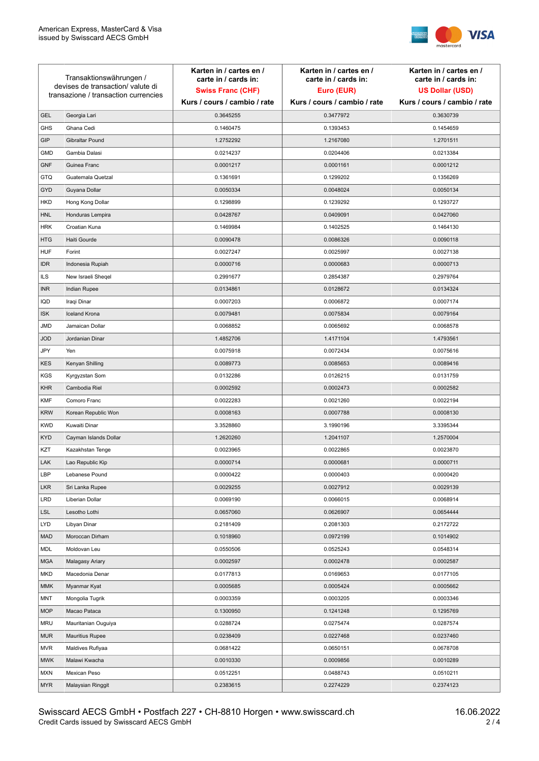

| Transaktionswährungen /<br>devises de transaction/valute di |                                      | Karten in / cartes en /<br>carte in / cards in: | Karten in / cartes en /<br>carte in / cards in: | Karten in / cartes en /<br>carte in / cards in: |
|-------------------------------------------------------------|--------------------------------------|-------------------------------------------------|-------------------------------------------------|-------------------------------------------------|
|                                                             |                                      | <b>Swiss Franc (CHF)</b>                        | Euro (EUR)                                      | <b>US Dollar (USD)</b>                          |
|                                                             | transazione / transaction currencies | Kurs / cours / cambio / rate                    | Kurs / cours / cambio / rate                    | Kurs / cours / cambio / rate                    |
| <b>GEL</b>                                                  | Georgia Lari                         | 0.3645255                                       | 0.3477972                                       | 0.3630739                                       |
| <b>GHS</b>                                                  | Ghana Cedi                           | 0.1460475                                       | 0.1393453                                       | 0.1454659                                       |
| GIP                                                         | Gibraltar Pound                      | 1.2752292                                       | 1.2167080                                       | 1.2701511                                       |
| <b>GMD</b>                                                  | Gambia Dalasi                        | 0.0214237                                       | 0.0204406                                       | 0.0213384                                       |
| <b>GNF</b>                                                  | Guinea Franc                         | 0.0001217                                       | 0.0001161                                       | 0.0001212                                       |
| <b>GTQ</b>                                                  | Guatemala Quetzal                    | 0.1361691                                       | 0.1299202                                       | 0.1356269                                       |
| GYD                                                         | Guyana Dollar                        | 0.0050334                                       | 0.0048024                                       | 0.0050134                                       |
| <b>HKD</b>                                                  | Hong Kong Dollar                     | 0.1298899                                       | 0.1239292                                       | 0.1293727                                       |
| <b>HNL</b>                                                  | Honduras Lempira                     | 0.0428767                                       | 0.0409091                                       | 0.0427060                                       |
| <b>HRK</b>                                                  | Croatian Kuna                        | 0.1469984                                       | 0.1402525                                       | 0.1464130                                       |
| <b>HTG</b>                                                  | Haiti Gourde                         | 0.0090478                                       | 0.0086326                                       | 0.0090118                                       |
| <b>HUF</b>                                                  | Forint                               | 0.0027247                                       | 0.0025997                                       | 0.0027138                                       |
| <b>IDR</b>                                                  | Indonesia Rupiah                     | 0.0000716                                       | 0.0000683                                       | 0.0000713                                       |
| ILS                                                         | New Israeli Sheqel                   | 0.2991677                                       | 0.2854387                                       | 0.2979764                                       |
| <b>INR</b>                                                  | Indian Rupee                         | 0.0134861                                       | 0.0128672                                       | 0.0134324                                       |
| IQD                                                         | Iraqi Dinar                          | 0.0007203                                       | 0.0006872                                       | 0.0007174                                       |
| <b>ISK</b>                                                  | <b>Iceland Krona</b>                 | 0.0079481                                       | 0.0075834                                       | 0.0079164                                       |
| <b>JMD</b>                                                  | Jamaican Dollar                      | 0.0068852                                       | 0.0065692                                       | 0.0068578                                       |
| <b>JOD</b>                                                  | Jordanian Dinar                      | 1.4852706                                       | 1.4171104                                       | 1.4793561                                       |
| JPY                                                         | Yen                                  | 0.0075918                                       | 0.0072434                                       | 0.0075616                                       |
| <b>KES</b>                                                  | Kenyan Shilling                      | 0.0089773                                       | 0.0085653                                       | 0.0089416                                       |
| <b>KGS</b>                                                  | Kyrgyzstan Som                       | 0.0132286                                       | 0.0126215                                       | 0.0131759                                       |
| <b>KHR</b>                                                  | Cambodia Riel                        | 0.0002592                                       | 0.0002473                                       | 0.0002582                                       |
| <b>KMF</b>                                                  | Comoro Franc                         | 0.0022283                                       | 0.0021260                                       | 0.0022194                                       |
| <b>KRW</b>                                                  | Korean Republic Won                  | 0.0008163                                       | 0.0007788                                       | 0.0008130                                       |
| <b>KWD</b>                                                  | Kuwaiti Dinar                        | 3.3528860                                       | 3.1990196                                       | 3.3395344                                       |
| <b>KYD</b>                                                  | Cayman Islands Dollar                | 1.2620260                                       | 1.2041107                                       | 1.2570004                                       |
| KZT                                                         | Kazakhstan Tenge                     | 0.0023965                                       | 0.0022865                                       | 0.0023870                                       |
| LAK                                                         | Lao Republic Kip                     | 0.0000714                                       | 0.0000681                                       | 0.0000711                                       |
| LBP                                                         | Lebanese Pound                       | 0.0000422                                       | 0.0000403                                       | 0.0000420                                       |
| <b>LKR</b>                                                  | Sri Lanka Rupee                      | 0.0029255                                       | 0.0027912                                       | 0.0029139                                       |
| <b>LRD</b>                                                  | Liberian Dollar                      | 0.0069190                                       | 0.0066015                                       | 0.0068914                                       |
| <b>LSL</b>                                                  | Lesotho Lothi                        | 0.0657060                                       | 0.0626907                                       | 0.0654444                                       |
| LYD                                                         | Libyan Dinar                         | 0.2181409                                       | 0.2081303                                       | 0.2172722                                       |
| <b>MAD</b>                                                  | Moroccan Dirham                      | 0.1018960                                       | 0.0972199                                       | 0.1014902                                       |
| MDL                                                         | Moldovan Leu                         | 0.0550506                                       | 0.0525243                                       | 0.0548314                                       |
| <b>MGA</b>                                                  | Malagasy Ariary                      | 0.0002597                                       | 0.0002478                                       | 0.0002587                                       |
| <b>MKD</b>                                                  | Macedonia Denar                      | 0.0177813                                       | 0.0169653                                       | 0.0177105                                       |
| MMK                                                         | Myanmar Kyat                         | 0.0005685                                       | 0.0005424                                       | 0.0005662                                       |
| MNT                                                         | Mongolia Tugrik                      | 0.0003359                                       | 0.0003205                                       | 0.0003346                                       |
| <b>MOP</b>                                                  | Macao Pataca                         | 0.1300950                                       | 0.1241248                                       | 0.1295769                                       |
| <b>MRU</b>                                                  | Mauritanian Ouguiya                  | 0.0288724                                       | 0.0275474                                       | 0.0287574                                       |
| <b>MUR</b>                                                  | <b>Mauritius Rupee</b>               | 0.0238409                                       | 0.0227468                                       | 0.0237460                                       |
| <b>MVR</b>                                                  | Maldives Rufiyaa                     | 0.0681422                                       | 0.0650151                                       | 0.0678708                                       |
| <b>MWK</b>                                                  | Malawi Kwacha                        | 0.0010330                                       | 0.0009856                                       | 0.0010289                                       |
| <b>MXN</b>                                                  | Mexican Peso                         | 0.0512251                                       | 0.0488743                                       | 0.0510211                                       |
| <b>MYR</b>                                                  | Malaysian Ringgit                    | 0.2383615                                       | 0.2274229                                       | 0.2374123                                       |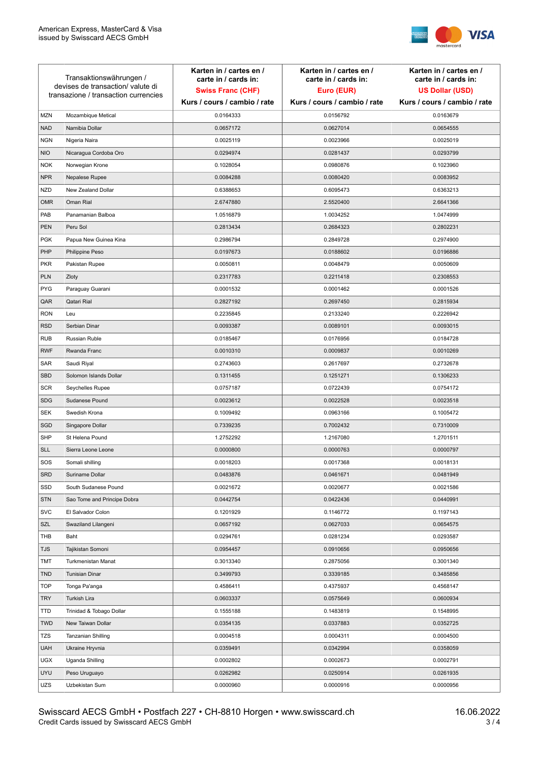

| <b>MZN</b><br>Mozambique Metical<br>0.0164333<br>0.0156792<br>0.0163679<br><b>NAD</b><br>Namibia Dollar<br>0.0627014<br>0.0657172<br>0.0654555<br><b>NGN</b><br>Nigeria Naira<br>0.0025119<br>0.0023966<br>0.0025019<br><b>NIO</b><br>0.0294974<br>0.0281437<br>0.0293799<br>Nicaragua Cordoba Oro<br><b>NOK</b><br>0.1028054<br>0.0980876<br>0.1023960<br>Norwegian Krone<br><b>NPR</b><br>0.0080420<br>0.0083952<br>Nepalese Rupee<br>0.0084288<br><b>NZD</b><br>New Zealand Dollar<br>0.6388653<br>0.6095473<br>0.6363213<br>Oman Rial<br><b>OMR</b><br>2.6747880<br>2.5520400<br>2.6641366<br>PAB<br>Panamanian Balboa<br>1.0516879<br>1.0034252<br>1.0474999<br><b>PEN</b><br>Peru Sol<br>0.2813434<br>0.2684323<br>0.2802231<br><b>PGK</b><br>0.2849728<br>Papua New Guinea Kina<br>0.2986794<br>0.2974900<br>PHP<br>0.0197673<br>0.0188602<br>0.0196886<br>Philippine Peso<br><b>PKR</b><br>0.0050811<br>0.0048479<br>0.0050609<br>Pakistan Rupee<br><b>PLN</b><br>Zloty<br>0.2317783<br>0.2211418<br>0.2308553<br><b>PYG</b><br>Paraguay Guarani<br>0.0001532<br>0.0001462<br>0.0001526<br>QAR<br>Qatari Rial<br>0.2827192<br>0.2697450<br>0.2815934<br><b>RON</b><br>Leu<br>0.2235845<br>0.2133240<br>0.2226942<br><b>RSD</b><br>Serbian Dinar<br>0.0089101<br>0.0093387<br>0.0093015<br><b>RUB</b><br>Russian Ruble<br>0.0176956<br>0.0184728<br>0.0185467<br><b>RWF</b><br>0.0010310<br>0.0009837<br>0.0010269<br>Rwanda Franc<br>SAR<br>Saudi Riyal<br>0.2743603<br>0.2617697<br>0.2732678<br><b>SBD</b><br>0.1251271<br>Solomon Islands Dollar<br>0.1311455<br>0.1306233<br><b>SCR</b><br>0.0722439<br>0.0754172<br>Seychelles Rupee<br>0.0757187<br><b>SDG</b><br>Sudanese Pound<br>0.0023612<br>0.0022528<br>0.0023518<br>SEK<br>Swedish Krona<br>0.1009492<br>0.0963166<br>0.1005472<br>SGD<br>0.7002432<br>Singapore Dollar<br>0.7339235<br>0.7310009<br><b>SHP</b><br>St Helena Pound<br>1.2752292<br>1.2167080<br>1.2701511<br><b>SLL</b><br>Sierra Leone Leone<br>0.0000800<br>0.0000763<br>0.0000797<br>SOS<br>Somali shilling<br>0.0018203<br>0.0017368<br>0.0018131<br><b>SRD</b><br>Suriname Dollar<br>0.0483876<br>0.0461671<br>0.0481949<br>SSD<br>South Sudanese Pound<br>0.0021672<br>0.0020677<br>0.0021586<br><b>STN</b><br>Sao Tome and Principe Dobra<br>0.0442754<br>0.0422436<br>0.0440991<br><b>SVC</b><br>0.1201929<br>0.1146772<br>0.1197143<br>El Salvador Colon<br><b>SZL</b><br>0.0657192<br>0.0627033<br>Swaziland Lilangeni<br>0.0654575<br>THB<br>0.0294761<br>0.0281234<br>0.0293587<br>Baht<br><b>TJS</b><br>0.0910656<br>Tajikistan Somoni<br>0.0954457<br>0.0950656<br>TMT<br>0.2875056<br>0.3001340<br>Turkmenistan Manat<br>0.3013340<br><b>Tunisian Dinar</b><br><b>TND</b><br>0.3499793<br>0.3339185<br>0.3485856<br><b>TOP</b><br>Tonga Pa'anga<br>0.4586411<br>0.4375937<br>0.4568147<br><b>TRY</b><br>0.0603337<br>0.0575649<br>0.0600934<br>Turkish Lira<br><b>TTD</b><br>Trinidad & Tobago Dollar<br>0.1555188<br>0.1483819<br>0.1548995 | Transaktionswährungen /<br>devises de transaction/valute di<br>transazione / transaction currencies |  | Karten in / cartes en /<br>carte in / cards in:<br><b>Swiss Franc (CHF)</b> | Karten in / cartes en /<br>carte in / cards in:<br>Euro (EUR) | Karten in / cartes en /<br>carte in / cards in:<br><b>US Dollar (USD)</b> |
|--------------------------------------------------------------------------------------------------------------------------------------------------------------------------------------------------------------------------------------------------------------------------------------------------------------------------------------------------------------------------------------------------------------------------------------------------------------------------------------------------------------------------------------------------------------------------------------------------------------------------------------------------------------------------------------------------------------------------------------------------------------------------------------------------------------------------------------------------------------------------------------------------------------------------------------------------------------------------------------------------------------------------------------------------------------------------------------------------------------------------------------------------------------------------------------------------------------------------------------------------------------------------------------------------------------------------------------------------------------------------------------------------------------------------------------------------------------------------------------------------------------------------------------------------------------------------------------------------------------------------------------------------------------------------------------------------------------------------------------------------------------------------------------------------------------------------------------------------------------------------------------------------------------------------------------------------------------------------------------------------------------------------------------------------------------------------------------------------------------------------------------------------------------------------------------------------------------------------------------------------------------------------------------------------------------------------------------------------------------------------------------------------------------------------------------------------------------------------------------------------------------------------------------------------------------------------------------------------------------------------------------------------------------------------------------------------------------------------------------------------------------------------------------------------------------------------------------------------------------------------------------------------------------------------------------------------------------------------------------------------|-----------------------------------------------------------------------------------------------------|--|-----------------------------------------------------------------------------|---------------------------------------------------------------|---------------------------------------------------------------------------|
|                                                                                                                                                                                                                                                                                                                                                                                                                                                                                                                                                                                                                                                                                                                                                                                                                                                                                                                                                                                                                                                                                                                                                                                                                                                                                                                                                                                                                                                                                                                                                                                                                                                                                                                                                                                                                                                                                                                                                                                                                                                                                                                                                                                                                                                                                                                                                                                                                                                                                                                                                                                                                                                                                                                                                                                                                                                                                                                                                                                                  |                                                                                                     |  | Kurs / cours / cambio / rate                                                | Kurs / cours / cambio / rate                                  | Kurs / cours / cambio / rate                                              |
|                                                                                                                                                                                                                                                                                                                                                                                                                                                                                                                                                                                                                                                                                                                                                                                                                                                                                                                                                                                                                                                                                                                                                                                                                                                                                                                                                                                                                                                                                                                                                                                                                                                                                                                                                                                                                                                                                                                                                                                                                                                                                                                                                                                                                                                                                                                                                                                                                                                                                                                                                                                                                                                                                                                                                                                                                                                                                                                                                                                                  |                                                                                                     |  |                                                                             |                                                               |                                                                           |
|                                                                                                                                                                                                                                                                                                                                                                                                                                                                                                                                                                                                                                                                                                                                                                                                                                                                                                                                                                                                                                                                                                                                                                                                                                                                                                                                                                                                                                                                                                                                                                                                                                                                                                                                                                                                                                                                                                                                                                                                                                                                                                                                                                                                                                                                                                                                                                                                                                                                                                                                                                                                                                                                                                                                                                                                                                                                                                                                                                                                  |                                                                                                     |  |                                                                             |                                                               |                                                                           |
|                                                                                                                                                                                                                                                                                                                                                                                                                                                                                                                                                                                                                                                                                                                                                                                                                                                                                                                                                                                                                                                                                                                                                                                                                                                                                                                                                                                                                                                                                                                                                                                                                                                                                                                                                                                                                                                                                                                                                                                                                                                                                                                                                                                                                                                                                                                                                                                                                                                                                                                                                                                                                                                                                                                                                                                                                                                                                                                                                                                                  |                                                                                                     |  |                                                                             |                                                               |                                                                           |
|                                                                                                                                                                                                                                                                                                                                                                                                                                                                                                                                                                                                                                                                                                                                                                                                                                                                                                                                                                                                                                                                                                                                                                                                                                                                                                                                                                                                                                                                                                                                                                                                                                                                                                                                                                                                                                                                                                                                                                                                                                                                                                                                                                                                                                                                                                                                                                                                                                                                                                                                                                                                                                                                                                                                                                                                                                                                                                                                                                                                  |                                                                                                     |  |                                                                             |                                                               |                                                                           |
|                                                                                                                                                                                                                                                                                                                                                                                                                                                                                                                                                                                                                                                                                                                                                                                                                                                                                                                                                                                                                                                                                                                                                                                                                                                                                                                                                                                                                                                                                                                                                                                                                                                                                                                                                                                                                                                                                                                                                                                                                                                                                                                                                                                                                                                                                                                                                                                                                                                                                                                                                                                                                                                                                                                                                                                                                                                                                                                                                                                                  |                                                                                                     |  |                                                                             |                                                               |                                                                           |
|                                                                                                                                                                                                                                                                                                                                                                                                                                                                                                                                                                                                                                                                                                                                                                                                                                                                                                                                                                                                                                                                                                                                                                                                                                                                                                                                                                                                                                                                                                                                                                                                                                                                                                                                                                                                                                                                                                                                                                                                                                                                                                                                                                                                                                                                                                                                                                                                                                                                                                                                                                                                                                                                                                                                                                                                                                                                                                                                                                                                  |                                                                                                     |  |                                                                             |                                                               |                                                                           |
|                                                                                                                                                                                                                                                                                                                                                                                                                                                                                                                                                                                                                                                                                                                                                                                                                                                                                                                                                                                                                                                                                                                                                                                                                                                                                                                                                                                                                                                                                                                                                                                                                                                                                                                                                                                                                                                                                                                                                                                                                                                                                                                                                                                                                                                                                                                                                                                                                                                                                                                                                                                                                                                                                                                                                                                                                                                                                                                                                                                                  |                                                                                                     |  |                                                                             |                                                               |                                                                           |
|                                                                                                                                                                                                                                                                                                                                                                                                                                                                                                                                                                                                                                                                                                                                                                                                                                                                                                                                                                                                                                                                                                                                                                                                                                                                                                                                                                                                                                                                                                                                                                                                                                                                                                                                                                                                                                                                                                                                                                                                                                                                                                                                                                                                                                                                                                                                                                                                                                                                                                                                                                                                                                                                                                                                                                                                                                                                                                                                                                                                  |                                                                                                     |  |                                                                             |                                                               |                                                                           |
|                                                                                                                                                                                                                                                                                                                                                                                                                                                                                                                                                                                                                                                                                                                                                                                                                                                                                                                                                                                                                                                                                                                                                                                                                                                                                                                                                                                                                                                                                                                                                                                                                                                                                                                                                                                                                                                                                                                                                                                                                                                                                                                                                                                                                                                                                                                                                                                                                                                                                                                                                                                                                                                                                                                                                                                                                                                                                                                                                                                                  |                                                                                                     |  |                                                                             |                                                               |                                                                           |
|                                                                                                                                                                                                                                                                                                                                                                                                                                                                                                                                                                                                                                                                                                                                                                                                                                                                                                                                                                                                                                                                                                                                                                                                                                                                                                                                                                                                                                                                                                                                                                                                                                                                                                                                                                                                                                                                                                                                                                                                                                                                                                                                                                                                                                                                                                                                                                                                                                                                                                                                                                                                                                                                                                                                                                                                                                                                                                                                                                                                  |                                                                                                     |  |                                                                             |                                                               |                                                                           |
|                                                                                                                                                                                                                                                                                                                                                                                                                                                                                                                                                                                                                                                                                                                                                                                                                                                                                                                                                                                                                                                                                                                                                                                                                                                                                                                                                                                                                                                                                                                                                                                                                                                                                                                                                                                                                                                                                                                                                                                                                                                                                                                                                                                                                                                                                                                                                                                                                                                                                                                                                                                                                                                                                                                                                                                                                                                                                                                                                                                                  |                                                                                                     |  |                                                                             |                                                               |                                                                           |
|                                                                                                                                                                                                                                                                                                                                                                                                                                                                                                                                                                                                                                                                                                                                                                                                                                                                                                                                                                                                                                                                                                                                                                                                                                                                                                                                                                                                                                                                                                                                                                                                                                                                                                                                                                                                                                                                                                                                                                                                                                                                                                                                                                                                                                                                                                                                                                                                                                                                                                                                                                                                                                                                                                                                                                                                                                                                                                                                                                                                  |                                                                                                     |  |                                                                             |                                                               |                                                                           |
|                                                                                                                                                                                                                                                                                                                                                                                                                                                                                                                                                                                                                                                                                                                                                                                                                                                                                                                                                                                                                                                                                                                                                                                                                                                                                                                                                                                                                                                                                                                                                                                                                                                                                                                                                                                                                                                                                                                                                                                                                                                                                                                                                                                                                                                                                                                                                                                                                                                                                                                                                                                                                                                                                                                                                                                                                                                                                                                                                                                                  |                                                                                                     |  |                                                                             |                                                               |                                                                           |
|                                                                                                                                                                                                                                                                                                                                                                                                                                                                                                                                                                                                                                                                                                                                                                                                                                                                                                                                                                                                                                                                                                                                                                                                                                                                                                                                                                                                                                                                                                                                                                                                                                                                                                                                                                                                                                                                                                                                                                                                                                                                                                                                                                                                                                                                                                                                                                                                                                                                                                                                                                                                                                                                                                                                                                                                                                                                                                                                                                                                  |                                                                                                     |  |                                                                             |                                                               |                                                                           |
|                                                                                                                                                                                                                                                                                                                                                                                                                                                                                                                                                                                                                                                                                                                                                                                                                                                                                                                                                                                                                                                                                                                                                                                                                                                                                                                                                                                                                                                                                                                                                                                                                                                                                                                                                                                                                                                                                                                                                                                                                                                                                                                                                                                                                                                                                                                                                                                                                                                                                                                                                                                                                                                                                                                                                                                                                                                                                                                                                                                                  |                                                                                                     |  |                                                                             |                                                               |                                                                           |
|                                                                                                                                                                                                                                                                                                                                                                                                                                                                                                                                                                                                                                                                                                                                                                                                                                                                                                                                                                                                                                                                                                                                                                                                                                                                                                                                                                                                                                                                                                                                                                                                                                                                                                                                                                                                                                                                                                                                                                                                                                                                                                                                                                                                                                                                                                                                                                                                                                                                                                                                                                                                                                                                                                                                                                                                                                                                                                                                                                                                  |                                                                                                     |  |                                                                             |                                                               |                                                                           |
|                                                                                                                                                                                                                                                                                                                                                                                                                                                                                                                                                                                                                                                                                                                                                                                                                                                                                                                                                                                                                                                                                                                                                                                                                                                                                                                                                                                                                                                                                                                                                                                                                                                                                                                                                                                                                                                                                                                                                                                                                                                                                                                                                                                                                                                                                                                                                                                                                                                                                                                                                                                                                                                                                                                                                                                                                                                                                                                                                                                                  |                                                                                                     |  |                                                                             |                                                               |                                                                           |
|                                                                                                                                                                                                                                                                                                                                                                                                                                                                                                                                                                                                                                                                                                                                                                                                                                                                                                                                                                                                                                                                                                                                                                                                                                                                                                                                                                                                                                                                                                                                                                                                                                                                                                                                                                                                                                                                                                                                                                                                                                                                                                                                                                                                                                                                                                                                                                                                                                                                                                                                                                                                                                                                                                                                                                                                                                                                                                                                                                                                  |                                                                                                     |  |                                                                             |                                                               |                                                                           |
|                                                                                                                                                                                                                                                                                                                                                                                                                                                                                                                                                                                                                                                                                                                                                                                                                                                                                                                                                                                                                                                                                                                                                                                                                                                                                                                                                                                                                                                                                                                                                                                                                                                                                                                                                                                                                                                                                                                                                                                                                                                                                                                                                                                                                                                                                                                                                                                                                                                                                                                                                                                                                                                                                                                                                                                                                                                                                                                                                                                                  |                                                                                                     |  |                                                                             |                                                               |                                                                           |
|                                                                                                                                                                                                                                                                                                                                                                                                                                                                                                                                                                                                                                                                                                                                                                                                                                                                                                                                                                                                                                                                                                                                                                                                                                                                                                                                                                                                                                                                                                                                                                                                                                                                                                                                                                                                                                                                                                                                                                                                                                                                                                                                                                                                                                                                                                                                                                                                                                                                                                                                                                                                                                                                                                                                                                                                                                                                                                                                                                                                  |                                                                                                     |  |                                                                             |                                                               |                                                                           |
|                                                                                                                                                                                                                                                                                                                                                                                                                                                                                                                                                                                                                                                                                                                                                                                                                                                                                                                                                                                                                                                                                                                                                                                                                                                                                                                                                                                                                                                                                                                                                                                                                                                                                                                                                                                                                                                                                                                                                                                                                                                                                                                                                                                                                                                                                                                                                                                                                                                                                                                                                                                                                                                                                                                                                                                                                                                                                                                                                                                                  |                                                                                                     |  |                                                                             |                                                               |                                                                           |
|                                                                                                                                                                                                                                                                                                                                                                                                                                                                                                                                                                                                                                                                                                                                                                                                                                                                                                                                                                                                                                                                                                                                                                                                                                                                                                                                                                                                                                                                                                                                                                                                                                                                                                                                                                                                                                                                                                                                                                                                                                                                                                                                                                                                                                                                                                                                                                                                                                                                                                                                                                                                                                                                                                                                                                                                                                                                                                                                                                                                  |                                                                                                     |  |                                                                             |                                                               |                                                                           |
|                                                                                                                                                                                                                                                                                                                                                                                                                                                                                                                                                                                                                                                                                                                                                                                                                                                                                                                                                                                                                                                                                                                                                                                                                                                                                                                                                                                                                                                                                                                                                                                                                                                                                                                                                                                                                                                                                                                                                                                                                                                                                                                                                                                                                                                                                                                                                                                                                                                                                                                                                                                                                                                                                                                                                                                                                                                                                                                                                                                                  |                                                                                                     |  |                                                                             |                                                               |                                                                           |
|                                                                                                                                                                                                                                                                                                                                                                                                                                                                                                                                                                                                                                                                                                                                                                                                                                                                                                                                                                                                                                                                                                                                                                                                                                                                                                                                                                                                                                                                                                                                                                                                                                                                                                                                                                                                                                                                                                                                                                                                                                                                                                                                                                                                                                                                                                                                                                                                                                                                                                                                                                                                                                                                                                                                                                                                                                                                                                                                                                                                  |                                                                                                     |  |                                                                             |                                                               |                                                                           |
|                                                                                                                                                                                                                                                                                                                                                                                                                                                                                                                                                                                                                                                                                                                                                                                                                                                                                                                                                                                                                                                                                                                                                                                                                                                                                                                                                                                                                                                                                                                                                                                                                                                                                                                                                                                                                                                                                                                                                                                                                                                                                                                                                                                                                                                                                                                                                                                                                                                                                                                                                                                                                                                                                                                                                                                                                                                                                                                                                                                                  |                                                                                                     |  |                                                                             |                                                               |                                                                           |
|                                                                                                                                                                                                                                                                                                                                                                                                                                                                                                                                                                                                                                                                                                                                                                                                                                                                                                                                                                                                                                                                                                                                                                                                                                                                                                                                                                                                                                                                                                                                                                                                                                                                                                                                                                                                                                                                                                                                                                                                                                                                                                                                                                                                                                                                                                                                                                                                                                                                                                                                                                                                                                                                                                                                                                                                                                                                                                                                                                                                  |                                                                                                     |  |                                                                             |                                                               |                                                                           |
|                                                                                                                                                                                                                                                                                                                                                                                                                                                                                                                                                                                                                                                                                                                                                                                                                                                                                                                                                                                                                                                                                                                                                                                                                                                                                                                                                                                                                                                                                                                                                                                                                                                                                                                                                                                                                                                                                                                                                                                                                                                                                                                                                                                                                                                                                                                                                                                                                                                                                                                                                                                                                                                                                                                                                                                                                                                                                                                                                                                                  |                                                                                                     |  |                                                                             |                                                               |                                                                           |
|                                                                                                                                                                                                                                                                                                                                                                                                                                                                                                                                                                                                                                                                                                                                                                                                                                                                                                                                                                                                                                                                                                                                                                                                                                                                                                                                                                                                                                                                                                                                                                                                                                                                                                                                                                                                                                                                                                                                                                                                                                                                                                                                                                                                                                                                                                                                                                                                                                                                                                                                                                                                                                                                                                                                                                                                                                                                                                                                                                                                  |                                                                                                     |  |                                                                             |                                                               |                                                                           |
|                                                                                                                                                                                                                                                                                                                                                                                                                                                                                                                                                                                                                                                                                                                                                                                                                                                                                                                                                                                                                                                                                                                                                                                                                                                                                                                                                                                                                                                                                                                                                                                                                                                                                                                                                                                                                                                                                                                                                                                                                                                                                                                                                                                                                                                                                                                                                                                                                                                                                                                                                                                                                                                                                                                                                                                                                                                                                                                                                                                                  |                                                                                                     |  |                                                                             |                                                               |                                                                           |
|                                                                                                                                                                                                                                                                                                                                                                                                                                                                                                                                                                                                                                                                                                                                                                                                                                                                                                                                                                                                                                                                                                                                                                                                                                                                                                                                                                                                                                                                                                                                                                                                                                                                                                                                                                                                                                                                                                                                                                                                                                                                                                                                                                                                                                                                                                                                                                                                                                                                                                                                                                                                                                                                                                                                                                                                                                                                                                                                                                                                  |                                                                                                     |  |                                                                             |                                                               |                                                                           |
|                                                                                                                                                                                                                                                                                                                                                                                                                                                                                                                                                                                                                                                                                                                                                                                                                                                                                                                                                                                                                                                                                                                                                                                                                                                                                                                                                                                                                                                                                                                                                                                                                                                                                                                                                                                                                                                                                                                                                                                                                                                                                                                                                                                                                                                                                                                                                                                                                                                                                                                                                                                                                                                                                                                                                                                                                                                                                                                                                                                                  |                                                                                                     |  |                                                                             |                                                               |                                                                           |
|                                                                                                                                                                                                                                                                                                                                                                                                                                                                                                                                                                                                                                                                                                                                                                                                                                                                                                                                                                                                                                                                                                                                                                                                                                                                                                                                                                                                                                                                                                                                                                                                                                                                                                                                                                                                                                                                                                                                                                                                                                                                                                                                                                                                                                                                                                                                                                                                                                                                                                                                                                                                                                                                                                                                                                                                                                                                                                                                                                                                  |                                                                                                     |  |                                                                             |                                                               |                                                                           |
|                                                                                                                                                                                                                                                                                                                                                                                                                                                                                                                                                                                                                                                                                                                                                                                                                                                                                                                                                                                                                                                                                                                                                                                                                                                                                                                                                                                                                                                                                                                                                                                                                                                                                                                                                                                                                                                                                                                                                                                                                                                                                                                                                                                                                                                                                                                                                                                                                                                                                                                                                                                                                                                                                                                                                                                                                                                                                                                                                                                                  |                                                                                                     |  |                                                                             |                                                               |                                                                           |
|                                                                                                                                                                                                                                                                                                                                                                                                                                                                                                                                                                                                                                                                                                                                                                                                                                                                                                                                                                                                                                                                                                                                                                                                                                                                                                                                                                                                                                                                                                                                                                                                                                                                                                                                                                                                                                                                                                                                                                                                                                                                                                                                                                                                                                                                                                                                                                                                                                                                                                                                                                                                                                                                                                                                                                                                                                                                                                                                                                                                  |                                                                                                     |  |                                                                             |                                                               |                                                                           |
|                                                                                                                                                                                                                                                                                                                                                                                                                                                                                                                                                                                                                                                                                                                                                                                                                                                                                                                                                                                                                                                                                                                                                                                                                                                                                                                                                                                                                                                                                                                                                                                                                                                                                                                                                                                                                                                                                                                                                                                                                                                                                                                                                                                                                                                                                                                                                                                                                                                                                                                                                                                                                                                                                                                                                                                                                                                                                                                                                                                                  |                                                                                                     |  |                                                                             |                                                               |                                                                           |
|                                                                                                                                                                                                                                                                                                                                                                                                                                                                                                                                                                                                                                                                                                                                                                                                                                                                                                                                                                                                                                                                                                                                                                                                                                                                                                                                                                                                                                                                                                                                                                                                                                                                                                                                                                                                                                                                                                                                                                                                                                                                                                                                                                                                                                                                                                                                                                                                                                                                                                                                                                                                                                                                                                                                                                                                                                                                                                                                                                                                  |                                                                                                     |  |                                                                             |                                                               |                                                                           |
|                                                                                                                                                                                                                                                                                                                                                                                                                                                                                                                                                                                                                                                                                                                                                                                                                                                                                                                                                                                                                                                                                                                                                                                                                                                                                                                                                                                                                                                                                                                                                                                                                                                                                                                                                                                                                                                                                                                                                                                                                                                                                                                                                                                                                                                                                                                                                                                                                                                                                                                                                                                                                                                                                                                                                                                                                                                                                                                                                                                                  |                                                                                                     |  |                                                                             |                                                               |                                                                           |
|                                                                                                                                                                                                                                                                                                                                                                                                                                                                                                                                                                                                                                                                                                                                                                                                                                                                                                                                                                                                                                                                                                                                                                                                                                                                                                                                                                                                                                                                                                                                                                                                                                                                                                                                                                                                                                                                                                                                                                                                                                                                                                                                                                                                                                                                                                                                                                                                                                                                                                                                                                                                                                                                                                                                                                                                                                                                                                                                                                                                  |                                                                                                     |  |                                                                             |                                                               |                                                                           |
|                                                                                                                                                                                                                                                                                                                                                                                                                                                                                                                                                                                                                                                                                                                                                                                                                                                                                                                                                                                                                                                                                                                                                                                                                                                                                                                                                                                                                                                                                                                                                                                                                                                                                                                                                                                                                                                                                                                                                                                                                                                                                                                                                                                                                                                                                                                                                                                                                                                                                                                                                                                                                                                                                                                                                                                                                                                                                                                                                                                                  |                                                                                                     |  |                                                                             |                                                               |                                                                           |
|                                                                                                                                                                                                                                                                                                                                                                                                                                                                                                                                                                                                                                                                                                                                                                                                                                                                                                                                                                                                                                                                                                                                                                                                                                                                                                                                                                                                                                                                                                                                                                                                                                                                                                                                                                                                                                                                                                                                                                                                                                                                                                                                                                                                                                                                                                                                                                                                                                                                                                                                                                                                                                                                                                                                                                                                                                                                                                                                                                                                  |                                                                                                     |  |                                                                             |                                                               |                                                                           |
|                                                                                                                                                                                                                                                                                                                                                                                                                                                                                                                                                                                                                                                                                                                                                                                                                                                                                                                                                                                                                                                                                                                                                                                                                                                                                                                                                                                                                                                                                                                                                                                                                                                                                                                                                                                                                                                                                                                                                                                                                                                                                                                                                                                                                                                                                                                                                                                                                                                                                                                                                                                                                                                                                                                                                                                                                                                                                                                                                                                                  |                                                                                                     |  |                                                                             |                                                               |                                                                           |
| <b>TWD</b><br>New Taiwan Dollar<br>0.0354135<br>0.0337883<br>0.0352725                                                                                                                                                                                                                                                                                                                                                                                                                                                                                                                                                                                                                                                                                                                                                                                                                                                                                                                                                                                                                                                                                                                                                                                                                                                                                                                                                                                                                                                                                                                                                                                                                                                                                                                                                                                                                                                                                                                                                                                                                                                                                                                                                                                                                                                                                                                                                                                                                                                                                                                                                                                                                                                                                                                                                                                                                                                                                                                           |                                                                                                     |  |                                                                             |                                                               |                                                                           |
| TZS<br>0.0004518<br>0.0004311<br>0.0004500<br>Tanzanian Shilling                                                                                                                                                                                                                                                                                                                                                                                                                                                                                                                                                                                                                                                                                                                                                                                                                                                                                                                                                                                                                                                                                                                                                                                                                                                                                                                                                                                                                                                                                                                                                                                                                                                                                                                                                                                                                                                                                                                                                                                                                                                                                                                                                                                                                                                                                                                                                                                                                                                                                                                                                                                                                                                                                                                                                                                                                                                                                                                                 |                                                                                                     |  |                                                                             |                                                               |                                                                           |
| <b>UAH</b><br>0.0359491<br>0.0342994<br>0.0358059<br>Ukraine Hryvnia                                                                                                                                                                                                                                                                                                                                                                                                                                                                                                                                                                                                                                                                                                                                                                                                                                                                                                                                                                                                                                                                                                                                                                                                                                                                                                                                                                                                                                                                                                                                                                                                                                                                                                                                                                                                                                                                                                                                                                                                                                                                                                                                                                                                                                                                                                                                                                                                                                                                                                                                                                                                                                                                                                                                                                                                                                                                                                                             |                                                                                                     |  |                                                                             |                                                               |                                                                           |
| <b>UGX</b><br>Uganda Shilling<br>0.0002802<br>0.0002673<br>0.0002791                                                                                                                                                                                                                                                                                                                                                                                                                                                                                                                                                                                                                                                                                                                                                                                                                                                                                                                                                                                                                                                                                                                                                                                                                                                                                                                                                                                                                                                                                                                                                                                                                                                                                                                                                                                                                                                                                                                                                                                                                                                                                                                                                                                                                                                                                                                                                                                                                                                                                                                                                                                                                                                                                                                                                                                                                                                                                                                             |                                                                                                     |  |                                                                             |                                                               |                                                                           |
| <b>UYU</b><br>0.0250914<br>Peso Uruguayo<br>0.0262982<br>0.0261935                                                                                                                                                                                                                                                                                                                                                                                                                                                                                                                                                                                                                                                                                                                                                                                                                                                                                                                                                                                                                                                                                                                                                                                                                                                                                                                                                                                                                                                                                                                                                                                                                                                                                                                                                                                                                                                                                                                                                                                                                                                                                                                                                                                                                                                                                                                                                                                                                                                                                                                                                                                                                                                                                                                                                                                                                                                                                                                               |                                                                                                     |  |                                                                             |                                                               |                                                                           |
| UZS<br>Uzbekistan Sum<br>0.0000960<br>0.0000916<br>0.0000956                                                                                                                                                                                                                                                                                                                                                                                                                                                                                                                                                                                                                                                                                                                                                                                                                                                                                                                                                                                                                                                                                                                                                                                                                                                                                                                                                                                                                                                                                                                                                                                                                                                                                                                                                                                                                                                                                                                                                                                                                                                                                                                                                                                                                                                                                                                                                                                                                                                                                                                                                                                                                                                                                                                                                                                                                                                                                                                                     |                                                                                                     |  |                                                                             |                                                               |                                                                           |